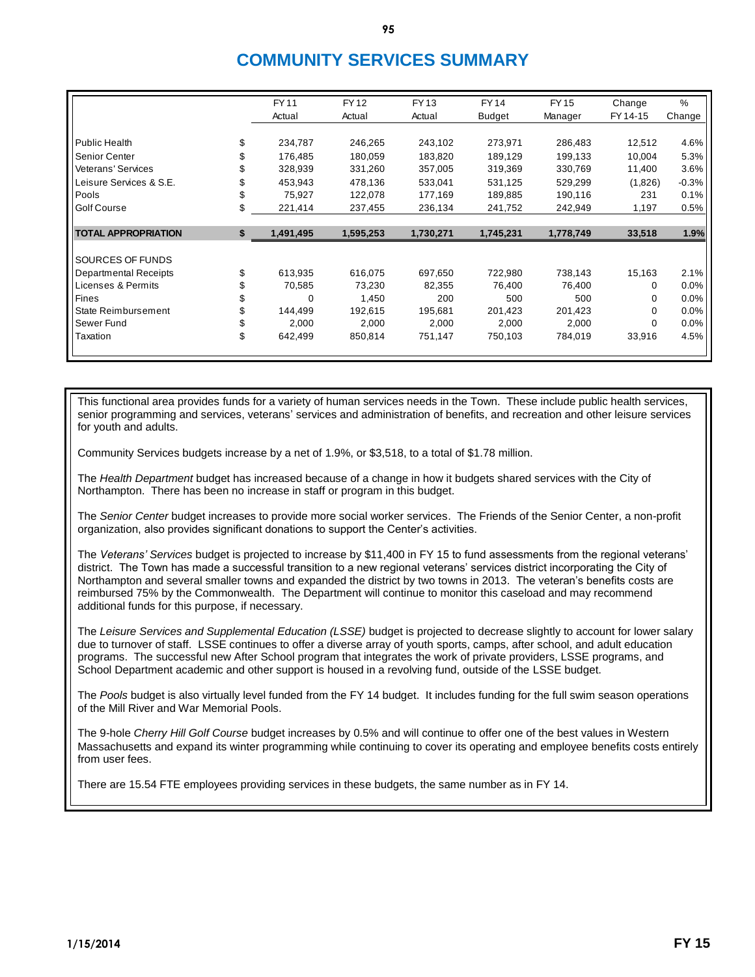## **COMMUNITY SERVICES SUMMARY**

|                              | <b>FY11</b>     | <b>FY12</b> | <b>FY13</b> | <b>FY14</b>   | <b>FY15</b> | Change   | %       |
|------------------------------|-----------------|-------------|-------------|---------------|-------------|----------|---------|
|                              | Actual          | Actual      | Actual      | <b>Budget</b> | Manager     | FY 14-15 | Change  |
|                              |                 |             |             |               |             |          |         |
| <b>Public Health</b>         | \$<br>234,787   | 246,265     | 243,102     | 273,971       | 286,483     | 12,512   | 4.6%    |
| Senior Center                | 176,485         | 180,059     | 183,820     | 189,129       | 199,133     | 10,004   | 5.3%    |
| <b>Veterans' Services</b>    | \$<br>328,939   | 331,260     | 357,005     | 319,369       | 330,769     | 11,400   | 3.6%    |
| Leisure Services & S.E.      | \$<br>453,943   | 478,136     | 533,041     | 531,125       | 529,299     | (1,826)  | $-0.3%$ |
| Pools                        | 75,927          | 122,078     | 177,169     | 189,885       | 190,116     | 231      | 0.1%    |
| Golf Course                  | \$<br>221,414   | 237,455     | 236,134     | 241,752       | 242,949     | 1,197    | 0.5%    |
|                              |                 |             |             |               |             |          |         |
| <b>TOTAL APPROPRIATION</b>   | \$<br>1,491,495 | 1,595,253   | 1,730,271   | 1,745,231     | 1,778,749   | 33,518   | 1.9%    |
|                              |                 |             |             |               |             |          |         |
| SOURCES OF FUNDS             |                 |             |             |               |             |          |         |
| <b>Departmental Receipts</b> | \$<br>613,935   | 616.075     | 697,650     | 722,980       | 738,143     | 15,163   | 2.1%    |
| Licenses & Permits           | \$<br>70,585    | 73.230      | 82,355      | 76,400        | 76,400      | 0        | 0.0%    |
| Fines                        | \$<br>0         | 1,450       | 200         | 500           | 500         | 0        | 0.0%    |
| State Reimbursement          | \$<br>144,499   | 192,615     | 195,681     | 201,423       | 201,423     | 0        | 0.0%    |
| Sewer Fund                   | \$<br>2,000     | 2,000       | 2,000       | 2,000         | 2,000       | 0        | 0.0%    |
| Taxation                     | \$<br>642,499   | 850,814     | 751,147     | 750,103       | 784,019     | 33,916   | 4.5%    |
|                              |                 |             |             |               |             |          |         |

This functional area provides funds for a variety of human services needs in the Town. These include public health services, senior programming and services, veterans' services and administration of benefits, and recreation and other leisure services for youth and adults.

Community Services budgets increase by a net of 1.9%, or \$3,518, to a total of \$1.78 million.

The *Health Department* budget has increased because of a change in how it budgets shared services with the City of Northampton. There has been no increase in staff or program in this budget.

The *Senior Center* budget increases to provide more social worker services. The Friends of the Senior Center, a non-profit organization, also provides significant donations to support the Center's activities.

The *Veterans' Services* budget is projected to increase by \$11,400 in FY 15 to fund assessments from the regional veterans' district. The Town has made a successful transition to a new regional veterans' services district incorporating the City of Northampton and several smaller towns and expanded the district by two towns in 2013. The veteran's benefits costs are reimbursed 75% by the Commonwealth. The Department will continue to monitor this caseload and may recommend additional funds for this purpose, if necessary.

The *Leisure Services and Supplemental Education (LSSE)* budget is projected to decrease slightly to account for lower salary due to turnover of staff. LSSE continues to offer a diverse array of youth sports, camps, after school, and adult education programs. The successful new After School program that integrates the work of private providers, LSSE programs, and School Department academic and other support is housed in a revolving fund, outside of the LSSE budget.

The *Pools* budget is also virtually level funded from the FY 14 budget. It includes funding for the full swim season operations of the Mill River and War Memorial Pools.

The 9-hole *Cherry Hill Golf Course* budget increases by 0.5% and will continue to offer one of the best values in Western Massachusetts and expand its winter programming while continuing to cover its operating and employee benefits costs entirely from user fees.

There are 15.54 FTE employees providing services in these budgets, the same number as in FY 14.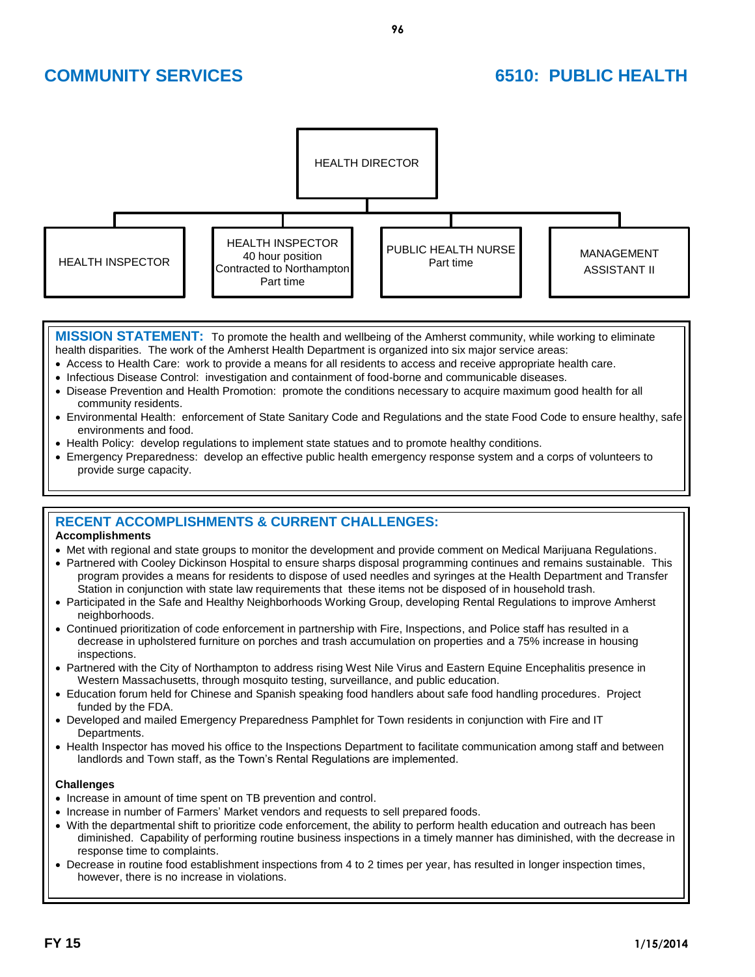

**MISSION STATEMENT:** To promote the health and wellbeing of the Amherst community, while working to eliminate health disparities. The work of the Amherst Health Department is organized into six major service areas:

- Access to Health Care: work to provide a means for all residents to access and receive appropriate health care.
- Infectious Disease Control: investigation and containment of food-borne and communicable diseases.
- Disease Prevention and Health Promotion: promote the conditions necessary to acquire maximum good health for all community residents.
- Environmental Health: enforcement of State Sanitary Code and Regulations and the state Food Code to ensure healthy, safe environments and food.
- Health Policy: develop regulations to implement state statues and to promote healthy conditions.
- Emergency Preparedness: develop an effective public health emergency response system and a corps of volunteers to provide surge capacity.

## **RECENT ACCOMPLISHMENTS & CURRENT CHALLENGES:**

### **Accomplishments**

- Met with regional and state groups to monitor the development and provide comment on Medical Marijuana Regulations.
- Partnered with Cooley Dickinson Hospital to ensure sharps disposal programming continues and remains sustainable. This program provides a means for residents to dispose of used needles and syringes at the Health Department and Transfer Station in conjunction with state law requirements that these items not be disposed of in household trash.
- Participated in the Safe and Healthy Neighborhoods Working Group, developing Rental Regulations to improve Amherst neighborhoods.
- Continued prioritization of code enforcement in partnership with Fire, Inspections, and Police staff has resulted in a decrease in upholstered furniture on porches and trash accumulation on properties and a 75% increase in housing inspections.
- Partnered with the City of Northampton to address rising West Nile Virus and Eastern Equine Encephalitis presence in Western Massachusetts, through mosquito testing, surveillance, and public education.
- Education forum held for Chinese and Spanish speaking food handlers about safe food handling procedures. Project funded by the FDA.
- Developed and mailed Emergency Preparedness Pamphlet for Town residents in conjunction with Fire and IT Departments.
- Health Inspector has moved his office to the Inspections Department to facilitate communication among staff and between landlords and Town staff, as the Town's Rental Regulations are implemented.

### **Challenges**

- Increase in amount of time spent on TB prevention and control.
- Increase in number of Farmers' Market vendors and requests to sell prepared foods.
- With the departmental shift to prioritize code enforcement, the ability to perform health education and outreach has been diminished. Capability of performing routine business inspections in a timely manner has diminished, with the decrease in response time to complaints.
- Decrease in routine food establishment inspections from 4 to 2 times per year, has resulted in longer inspection times, however, there is no increase in violations.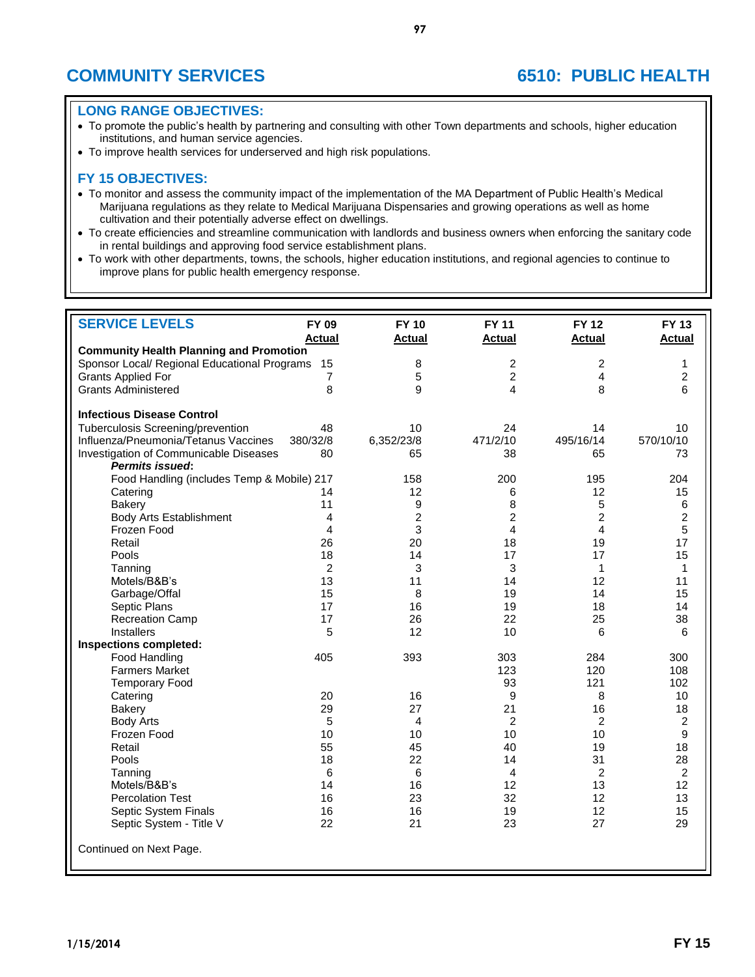## **LONG RANGE OBJECTIVES:**

- To promote the public's health by partnering and consulting with other Town departments and schools, higher education institutions, and human service agencies.
- To improve health services for underserved and high risk populations.

- To monitor and assess the community impact of the implementation of the MA Department of Public Health's Medical Marijuana regulations as they relate to Medical Marijuana Dispensaries and growing operations as well as home cultivation and their potentially adverse effect on dwellings.
- To create efficiencies and streamline communication with landlords and business owners when enforcing the sanitary code in rental buildings and approving food service establishment plans.
- To work with other departments, towns, the schools, higher education institutions, and regional agencies to continue to improve plans for public health emergency response.

| <b>SERVICE LEVELS</b>                                            | FY 09                   | <b>FY 10</b>   | <b>FY 11</b>   | <b>FY 12</b>   | <b>FY 13</b>   |
|------------------------------------------------------------------|-------------------------|----------------|----------------|----------------|----------------|
|                                                                  | <b>Actual</b>           | <b>Actual</b>  | <b>Actual</b>  | <b>Actual</b>  | <b>Actual</b>  |
| <b>Community Health Planning and Promotion</b>                   |                         |                |                |                |                |
| Sponsor Local/ Regional Educational Programs                     | 15                      | 8              | $\overline{2}$ | 2              | 1              |
| <b>Grants Applied For</b>                                        | 7                       | 5              | $\overline{2}$ | 4              | $\overline{2}$ |
| <b>Grants Administered</b>                                       | 8                       | 9              | 4              | 8              | 6              |
| <b>Infectious Disease Control</b>                                |                         |                |                |                |                |
| Tuberculosis Screening/prevention                                | 48                      | 10             | 24             | 14             | 10             |
| Influenza/Pneumonia/Tetanus Vaccines                             | 380/32/8                | 6,352/23/8     | 471/2/10       | 495/16/14      | 570/10/10      |
| <b>Investigation of Communicable Diseases</b><br>Permits issued: | 80                      | 65             | 38             | 65             | 73             |
| Food Handling (includes Temp & Mobile) 217                       |                         | 158            | 200            | 195            | 204            |
| Catering                                                         | 14                      | 12             | 6              | 12             | 15             |
| <b>Bakery</b>                                                    | 11                      | 9              | 8              | 5              | 6              |
| <b>Body Arts Establishment</b>                                   | 4                       | $\overline{c}$ | $\overline{c}$ | $\overline{c}$ | $\overline{c}$ |
| Frozen Food                                                      | $\overline{\mathbf{4}}$ | 3              | 4              | 4              | 5              |
| Retail                                                           | 26                      | 20             | 18             | 19             | 17             |
| Pools                                                            | 18                      | 14             | 17             | 17             | 15             |
| Tanning                                                          | $\overline{2}$          | 3              | 3              | 1              | $\mathbf{1}$   |
| Motels/B&B's                                                     | 13                      | 11             | 14             | 12             | 11             |
| Garbage/Offal                                                    | 15                      | 8              | 19             | 14             | 15             |
| Septic Plans                                                     | 17                      | 16             | 19             | 18             | 14             |
| <b>Recreation Camp</b>                                           | 17                      | 26             | 22             | 25             | 38             |
| <b>Installers</b>                                                | 5                       | 12             | 10             | 6              | 6              |
| Inspections completed:                                           |                         |                |                |                |                |
| Food Handling                                                    | 405                     | 393            | 303            | 284            | 300            |
| <b>Farmers Market</b>                                            |                         |                | 123            | 120            | 108            |
| <b>Temporary Food</b>                                            |                         |                | 93             | 121            | 102            |
| Catering                                                         | 20                      | 16             | 9              | 8              | 10             |
| <b>Bakery</b>                                                    | 29                      | 27             | 21             | 16             | 18             |
| <b>Body Arts</b>                                                 | 5                       | 4              | $\overline{2}$ | 2              | 2              |
| Frozen Food                                                      | 10                      | 10             | 10             | 10             | 9              |
| Retail                                                           | 55                      | 45             | 40             | 19             | 18             |
| Pools                                                            | 18                      | 22             | 14             | 31             | 28             |
| Tanning                                                          | 6                       | 6              | 4              | $\overline{c}$ | $\overline{2}$ |
| Motels/B&B's                                                     | 14                      | 16             | 12             | 13             | 12             |
| <b>Percolation Test</b>                                          | 16                      | 23             | 32             | 12             | 13             |
| Septic System Finals                                             | 16                      | 16             | 19             | 12             | 15             |
| Septic System - Title V                                          | 22                      | 21             | 23             | 27             | 29             |
| Continued on Next Page.                                          |                         |                |                |                |                |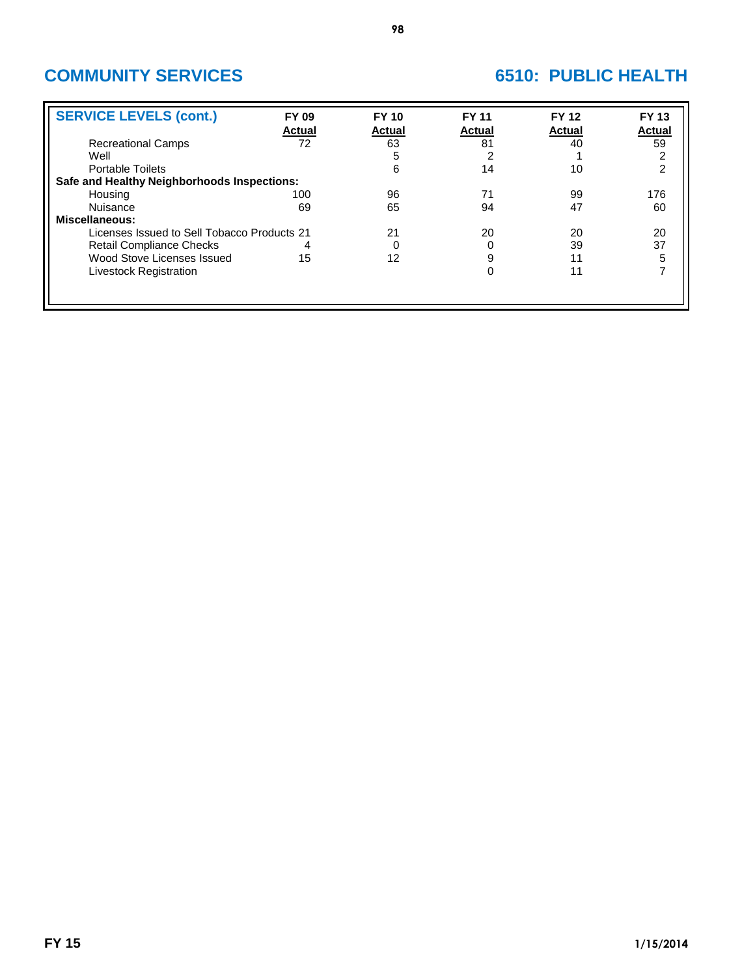| <b>FY 09</b><br><b>Actual</b> | <b>FY 10</b><br><b>Actual</b>                                                              | <b>FY 11</b><br><b>Actual</b> | <b>FY 12</b><br><b>Actual</b> | <b>FY 13</b><br>Actual |
|-------------------------------|--------------------------------------------------------------------------------------------|-------------------------------|-------------------------------|------------------------|
| 72                            | 63                                                                                         | 81                            | 40                            | 59                     |
|                               | 5                                                                                          |                               |                               | $\overline{c}$         |
|                               | 6                                                                                          | 14                            | 10                            | 2                      |
|                               |                                                                                            |                               |                               |                        |
| 100                           | 96                                                                                         | 71                            | 99                            | 176                    |
| 69                            | 65                                                                                         | 94                            | 47                            | 60                     |
|                               |                                                                                            |                               |                               |                        |
|                               | 21                                                                                         | 20                            | 20                            | 20                     |
| 4                             | 0                                                                                          |                               | 39                            | 37                     |
| 15                            | 12                                                                                         | 9                             | 11                            | 5                      |
|                               |                                                                                            |                               | 11                            | 7                      |
|                               |                                                                                            |                               |                               |                        |
|                               |                                                                                            |                               |                               |                        |
|                               | Safe and Healthy Neighborhoods Inspections:<br>Licenses Issued to Sell Tobacco Products 21 |                               |                               |                        |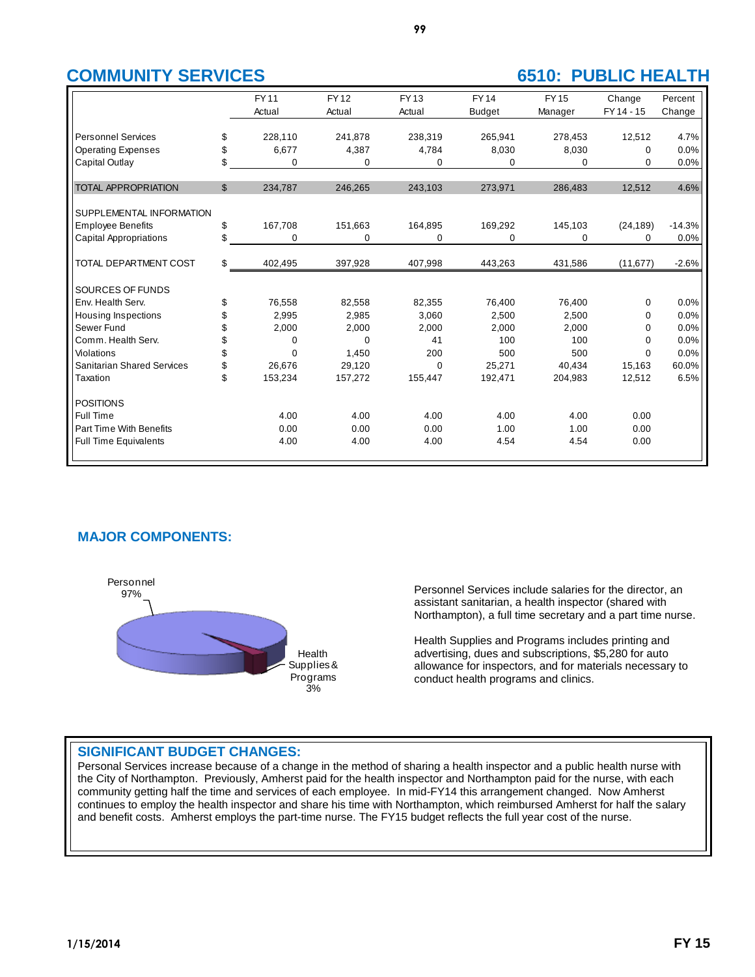|                                   | <b>FY11</b>    | <b>FY12</b> | <b>FY13</b> | <b>FY14</b>   | <b>FY15</b> | Change     | Percent  |
|-----------------------------------|----------------|-------------|-------------|---------------|-------------|------------|----------|
|                                   | Actual         | Actual      | Actual      | <b>Budget</b> | Manager     | FY 14 - 15 | Change   |
|                                   |                |             |             |               |             |            |          |
| <b>Personnel Services</b>         | \$<br>228,110  | 241.878     | 238,319     | 265,941       | 278,453     | 12,512     | 4.7%     |
| <b>Operating Expenses</b>         | \$<br>6,677    | 4,387       | 4,784       | 8,030         | 8,030       | $\Omega$   | 0.0%     |
| Capital Outlay                    | \$<br>0        | 0           | 0           | 0             | 0           | 0          | 0.0%     |
|                                   |                |             |             |               |             |            |          |
| <b>TOTAL APPROPRIATION</b>        | \$<br>234,787  | 246,265     | 243,103     | 273,971       | 286,483     | 12,512     | 4.6%     |
|                                   |                |             |             |               |             |            |          |
| SUPPLEMENTAL INFORMATION          |                |             |             |               |             |            |          |
| <b>Employee Benefits</b>          | \$<br>167,708  | 151,663     | 164,895     | 169,292       | 145,103     | (24, 189)  | $-14.3%$ |
| <b>Capital Appropriations</b>     | \$<br>0        | 0           | 0           | $\Omega$      | 0           | $\Omega$   | 0.0%     |
|                                   |                |             |             |               |             |            |          |
| TOTAL DEPARTMENT COST             | \$<br>402,495  | 397,928     | 407,998     | 443,263       | 431,586     | (11, 677)  | $-2.6%$  |
|                                   |                |             |             |               |             |            |          |
| SOURCES OF FUNDS                  |                |             |             |               |             |            |          |
| Env. Health Serv.                 | \$<br>76,558   | 82,558      | 82,355      | 76,400        | 76,400      | 0          | 0.0%     |
| Housing Inspections               | \$<br>2,995    | 2,985       | 3,060       | 2,500         | 2,500       | 0          | 0.0%     |
| Sewer Fund                        | \$<br>2,000    | 2,000       | 2,000       | 2,000         | 2,000       | 0          | 0.0%     |
| Comm. Health Serv.                | \$<br>0        | $\Omega$    | 41          | 100           | 100         | 0          | 0.0%     |
| Violations                        | \$<br>$\Omega$ | 1,450       | 200         | 500           | 500         | $\Omega$   | 0.0%     |
| <b>Sanitarian Shared Services</b> | \$<br>26.676   | 29,120      | 0           | 25,271        | 40,434      | 15,163     | 60.0%    |
| Taxation                          | \$<br>153,234  | 157,272     | 155,447     | 192,471       | 204,983     | 12,512     | 6.5%     |
|                                   |                |             |             |               |             |            |          |
| <b>POSITIONS</b>                  |                |             |             |               |             |            |          |
| Full Time                         | 4.00           | 4.00        | 4.00        | 4.00          | 4.00        | 0.00       |          |
| Part Time With Benefits           | 0.00           | 0.00        | 0.00        | 1.00          | 1.00        | 0.00       |          |
| <b>Full Time Equivalents</b>      | 4.00           | 4.00        | 4.00        | 4.54          | 4.54        | 0.00       |          |
|                                   |                |             |             |               |             |            |          |

## **MAJOR COMPONENTS:**



Personnel Services include salaries for the director, an assistant sanitarian, a health inspector (shared with Northampton), a full time secretary and a part time nurse.

Health Supplies and Programs includes printing and advertising, dues and subscriptions, \$5,280 for auto allowance for inspectors, and for materials necessary to conduct health programs and clinics.

## **SIGNIFICANT BUDGET CHANGES:**

Personal Services increase because of a change in the method of sharing a health inspector and a public health nurse with the City of Northampton. Previously, Amherst paid for the health inspector and Northampton paid for the nurse, with each community getting half the time and services of each employee. In mid-FY14 this arrangement changed. Now Amherst continues to employ the health inspector and share his time with Northampton, which reimbursed Amherst for half the salary and benefit costs. Amherst employs the part-time nurse. The FY15 budget reflects the full year cost of the nurse.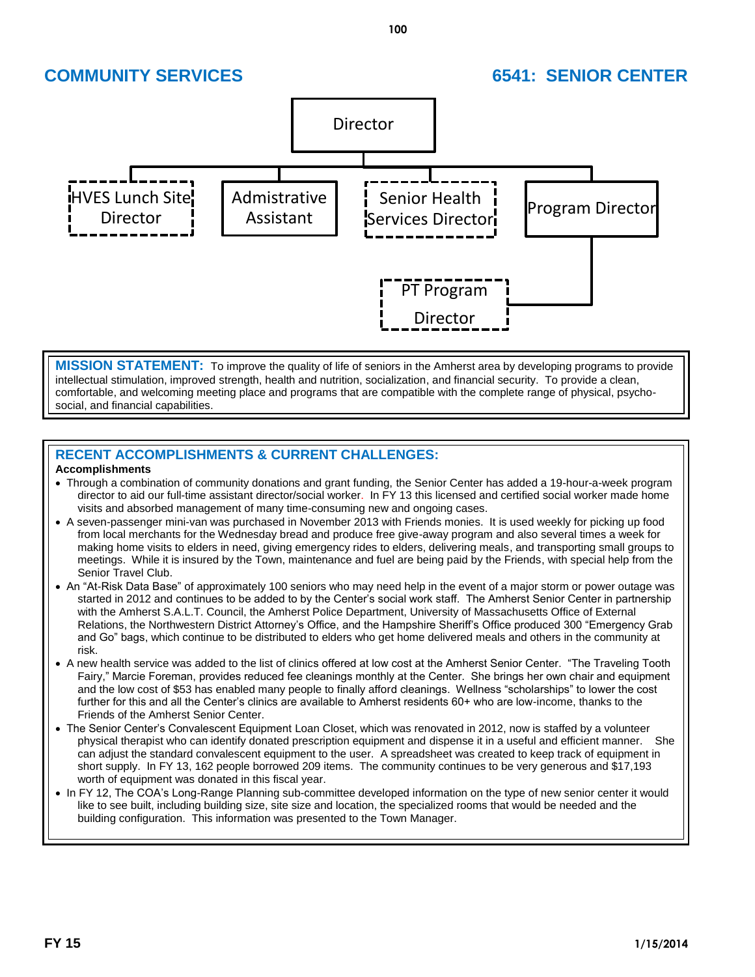

**MISSION STATEMENT:** To improve the quality of life of seniors in the Amherst area by developing programs to provide intellectual stimulation, improved strength, health and nutrition, socialization, and financial security. To provide a clean, comfortable, and welcoming meeting place and programs that are compatible with the complete range of physical, psychosocial, and financial capabilities.

## **RECENT ACCOMPLISHMENTS & CURRENT CHALLENGES:**

## **Accomplishments**

- Through a combination of community donations and grant funding, the Senior Center has added a 19-hour-a-week program director to aid our full-time assistant director/social worker. In FY 13 this licensed and certified social worker made home visits and absorbed management of many time-consuming new and ongoing cases.
- A seven-passenger mini-van was purchased in November 2013 with Friends monies. It is used weekly for picking up food from local merchants for the Wednesday bread and produce free give-away program and also several times a week for making home visits to elders in need, giving emergency rides to elders, delivering meals, and transporting small groups to meetings. While it is insured by the Town, maintenance and fuel are being paid by the Friends, with special help from the Senior Travel Club.
- An "At-Risk Data Base" of approximately 100 seniors who may need help in the event of a major storm or power outage was started in 2012 and continues to be added to by the Center's social work staff. The Amherst Senior Center in partnership with the Amherst S.A.L.T. Council, the Amherst Police Department, University of Massachusetts Office of External Relations, the Northwestern District Attorney's Office, and the Hampshire Sheriff's Office produced 300 "Emergency Grab and Go" bags, which continue to be distributed to elders who get home delivered meals and others in the community at risk.
- A new health service was added to the list of clinics offered at low cost at the Amherst Senior Center. "The Traveling Tooth Fairy," Marcie Foreman, provides reduced fee cleanings monthly at the Center. She brings her own chair and equipment and the low cost of \$53 has enabled many people to finally afford cleanings. Wellness "scholarships" to lower the cost further for this and all the Center's clinics are available to Amherst residents 60+ who are low-income, thanks to the Friends of the Amherst Senior Center.
- The Senior Center's Convalescent Equipment Loan Closet, which was renovated in 2012, now is staffed by a volunteer physical therapist who can identify donated prescription equipment and dispense it in a useful and efficient manner. She can adjust the standard convalescent equipment to the user. A spreadsheet was created to keep track of equipment in short supply. In FY 13, 162 people borrowed 209 items. The community continues to be very generous and \$17,193 worth of equipment was donated in this fiscal year.
- In FY 12, The COA's Long-Range Planning sub-committee developed information on the type of new senior center it would like to see built, including building size, site size and location, the specialized rooms that would be needed and the building configuration. This information was presented to the Town Manager.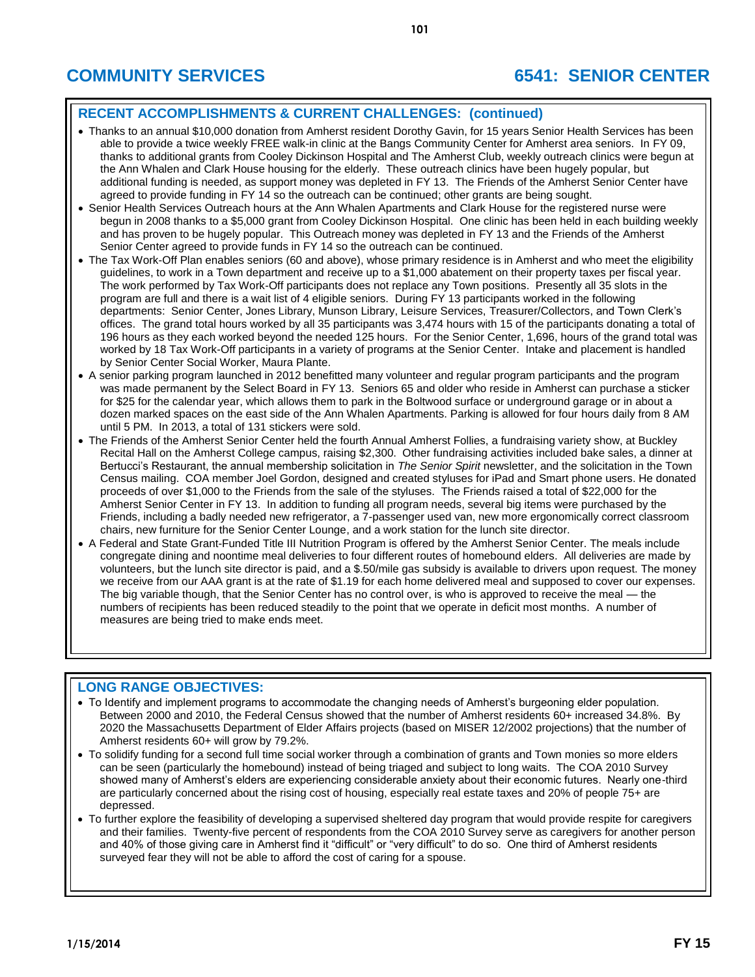# **COMMUNITY SERVICES 6541: SENIOR CENTER**

## **RECENT ACCOMPLISHMENTS & CURRENT CHALLENGES: (continued)**

- Thanks to an annual \$10,000 donation from Amherst resident Dorothy Gavin, for 15 years Senior Health Services has been able to provide a twice weekly FREE walk-in clinic at the Bangs Community Center for Amherst area seniors. In FY 09, thanks to additional grants from Cooley Dickinson Hospital and The Amherst Club, weekly outreach clinics were begun at the Ann Whalen and Clark House housing for the elderly. These outreach clinics have been hugely popular, but additional funding is needed, as support money was depleted in FY 13. The Friends of the Amherst Senior Center have agreed to provide funding in FY 14 so the outreach can be continued; other grants are being sought.
- Senior Health Services Outreach hours at the Ann Whalen Apartments and Clark House for the registered nurse were begun in 2008 thanks to a \$5,000 grant from Cooley Dickinson Hospital. One clinic has been held in each building weekly and has proven to be hugely popular. This Outreach money was depleted in FY 13 and the Friends of the Amherst Senior Center agreed to provide funds in FY 14 so the outreach can be continued.
- The Tax Work-Off Plan enables seniors (60 and above), whose primary residence is in Amherst and who meet the eligibility guidelines, to work in a Town department and receive up to a \$1,000 abatement on their property taxes per fiscal year. The work performed by Tax Work-Off participants does not replace any Town positions. Presently all 35 slots in the program are full and there is a wait list of 4 eligible seniors. During FY 13 participants worked in the following departments: Senior Center, Jones Library, Munson Library, Leisure Services, Treasurer/Collectors, and Town Clerk's offices. The grand total hours worked by all 35 participants was 3,474 hours with 15 of the participants donating a total of 196 hours as they each worked beyond the needed 125 hours. For the Senior Center, 1,696, hours of the grand total was worked by 18 Tax Work-Off participants in a variety of programs at the Senior Center. Intake and placement is handled by Senior Center Social Worker, Maura Plante.
- A senior parking program launched in 2012 benefitted many volunteer and regular program participants and the program was made permanent by the Select Board in FY 13. Seniors 65 and older who reside in Amherst can purchase a sticker for \$25 for the calendar year, which allows them to park in the Boltwood surface or underground garage or in about a dozen marked spaces on the east side of the Ann Whalen Apartments. Parking is allowed for four hours daily from 8 AM until 5 PM. In 2013, a total of 131 stickers were sold.
- The Friends of the Amherst Senior Center held the fourth Annual Amherst Follies, a fundraising variety show, at Buckley Recital Hall on the Amherst College campus, raising \$2,300. Other fundraising activities included bake sales, a dinner at Bertucci's Restaurant, the annual membership solicitation in *The Senior Spirit* newsletter, and the solicitation in the Town Census mailing. COA member Joel Gordon, designed and created styluses for iPad and Smart phone users. He donated proceeds of over \$1,000 to the Friends from the sale of the styluses. The Friends raised a total of \$22,000 for the Amherst Senior Center in FY 13. In addition to funding all program needs, several big items were purchased by the Friends, including a badly needed new refrigerator, a 7-passenger used van, new more ergonomically correct classroom chairs, new furniture for the Senior Center Lounge, and a work station for the lunch site director.
- A Federal and State Grant-Funded Title III Nutrition Program is offered by the Amherst Senior Center. The meals include congregate dining and noontime meal deliveries to four different routes of homebound elders. All deliveries are made by volunteers, but the lunch site director is paid, and a \$.50/mile gas subsidy is available to drivers upon request. The money we receive from our AAA grant is at the rate of \$1.19 for each home delivered meal and supposed to cover our expenses. The big variable though, that the Senior Center has no control over, is who is approved to receive the meal — the numbers of recipients has been reduced steadily to the point that we operate in deficit most months. A number of measures are being tried to make ends meet.

## **LONG RANGE OBJECTIVES:**

- To Identify and implement programs to accommodate the changing needs of Amherst's burgeoning elder population. Between 2000 and 2010, the Federal Census showed that the number of Amherst residents 60+ increased 34.8%. By 2020 the Massachusetts Department of Elder Affairs projects (based on MISER 12/2002 projections) that the number of Amherst residents 60+ will grow by 79.2%.
- To solidify funding for a second full time social worker through a combination of grants and Town monies so more elders can be seen (particularly the homebound) instead of being triaged and subject to long waits. The COA 2010 Survey showed many of Amherst's elders are experiencing considerable anxiety about their economic futures. Nearly one-third are particularly concerned about the rising cost of housing, especially real estate taxes and 20% of people 75+ are depressed.
- To further explore the feasibility of developing a supervised sheltered day program that would provide respite for caregivers and their families. Twenty-five percent of respondents from the COA 2010 Survey serve as caregivers for another person and 40% of those giving care in Amherst find it "difficult" or "very difficult" to do so. One third of Amherst residents surveyed fear they will not be able to afford the cost of caring for a spouse.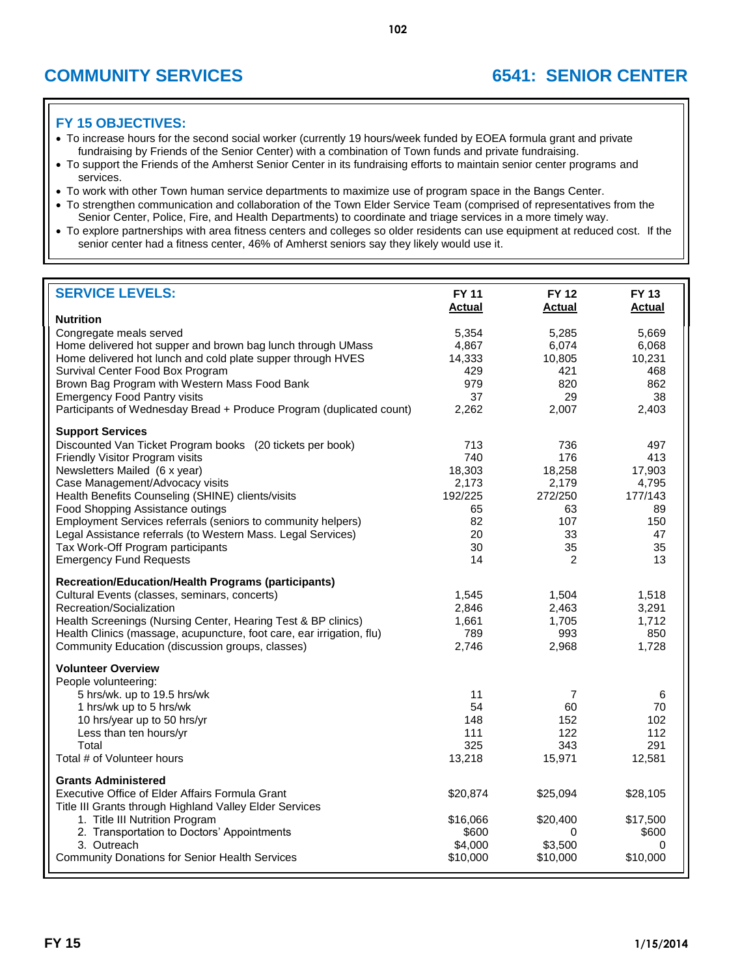# **COMMUNITY SERVICES 6541: SENIOR CENTER**

- To increase hours for the second social worker (currently 19 hours/week funded by EOEA formula grant and private fundraising by Friends of the Senior Center) with a combination of Town funds and private fundraising.
- To support the Friends of the Amherst Senior Center in its fundraising efforts to maintain senior center programs and services.
- To work with other Town human service departments to maximize use of program space in the Bangs Center.
- To strengthen communication and collaboration of the Town Elder Service Team (comprised of representatives from the Senior Center, Police, Fire, and Health Departments) to coordinate and triage services in a more timely way.
- To explore partnerships with area fitness centers and colleges so older residents can use equipment at reduced cost. If the senior center had a fitness center, 46% of Amherst seniors say they likely would use it.

| <b>SERVICE LEVELS:</b>                                                | <b>FY 11</b><br><b>Actual</b> | <b>FY 12</b><br><b>Actual</b> | <b>FY 13</b><br><b>Actual</b> |
|-----------------------------------------------------------------------|-------------------------------|-------------------------------|-------------------------------|
| <b>Nutrition</b>                                                      |                               |                               |                               |
| Congregate meals served                                               | 5,354                         | 5,285                         | 5,669                         |
| Home delivered hot supper and brown bag lunch through UMass           | 4,867                         | 6,074                         | 6,068                         |
| Home delivered hot lunch and cold plate supper through HVES           | 14,333                        | 10,805                        | 10,231                        |
| Survival Center Food Box Program                                      | 429                           | 421                           | 468                           |
| Brown Bag Program with Western Mass Food Bank                         | 979                           | 820                           | 862                           |
| <b>Emergency Food Pantry visits</b>                                   | 37                            | 29                            | 38                            |
| Participants of Wednesday Bread + Produce Program (duplicated count)  | 2,262                         | 2,007                         | 2,403                         |
| <b>Support Services</b>                                               |                               |                               |                               |
| Discounted Van Ticket Program books (20 tickets per book)             | 713                           | 736                           | 497                           |
| Friendly Visitor Program visits                                       | 740                           | 176                           | 413                           |
| Newsletters Mailed (6 x year)                                         | 18,303                        | 18,258                        | 17,903                        |
| Case Management/Advocacy visits                                       | 2,173                         | 2,179                         | 4,795                         |
| Health Benefits Counseling (SHINE) clients/visits                     | 192/225                       | 272/250                       | 177/143                       |
| Food Shopping Assistance outings                                      | 65                            | 63                            | 89                            |
| Employment Services referrals (seniors to community helpers)          | 82                            | 107                           | 150                           |
| Legal Assistance referrals (to Western Mass. Legal Services)          | 20                            | 33                            | 47                            |
| Tax Work-Off Program participants                                     | 30                            | 35                            | 35                            |
| <b>Emergency Fund Requests</b>                                        | 14                            | 2                             | 13                            |
| <b>Recreation/Education/Health Programs (participants)</b>            |                               |                               |                               |
| Cultural Events (classes, seminars, concerts)                         | 1,545                         | 1,504                         | 1,518                         |
| Recreation/Socialization                                              | 2,846                         | 2,463                         | 3,291                         |
| Health Screenings (Nursing Center, Hearing Test & BP clinics)         | 1,661                         | 1,705                         | 1,712                         |
| Health Clinics (massage, acupuncture, foot care, ear irrigation, flu) | 789                           | 993                           | 850                           |
| Community Education (discussion groups, classes)                      | 2,746                         | 2,968                         | 1,728                         |
|                                                                       |                               |                               |                               |
| <b>Volunteer Overview</b>                                             |                               |                               |                               |
| People volunteering:                                                  |                               |                               |                               |
| 5 hrs/wk. up to 19.5 hrs/wk                                           | 11                            | 7                             | 6                             |
| 1 hrs/wk up to 5 hrs/wk                                               | 54                            | 60                            | 70                            |
| 10 hrs/year up to 50 hrs/yr                                           | 148                           | 152                           | 102                           |
| Less than ten hours/yr                                                | 111                           | 122                           | 112                           |
| Total                                                                 | 325                           | 343                           | 291                           |
| Total # of Volunteer hours                                            | 13,218                        | 15,971                        | 12,581                        |
| <b>Grants Administered</b>                                            |                               |                               |                               |
| Executive Office of Elder Affairs Formula Grant                       | \$20,874                      | \$25,094                      | \$28,105                      |
| Title III Grants through Highland Valley Elder Services               |                               |                               |                               |
| 1. Title III Nutrition Program                                        | \$16,066                      | \$20,400                      | \$17,500                      |
| 2. Transportation to Doctors' Appointments                            | \$600                         | 0                             | \$600                         |
| 3. Outreach                                                           | \$4,000                       | \$3,500                       | 0                             |
| <b>Community Donations for Senior Health Services</b>                 | \$10,000                      | \$10,000                      | \$10,000                      |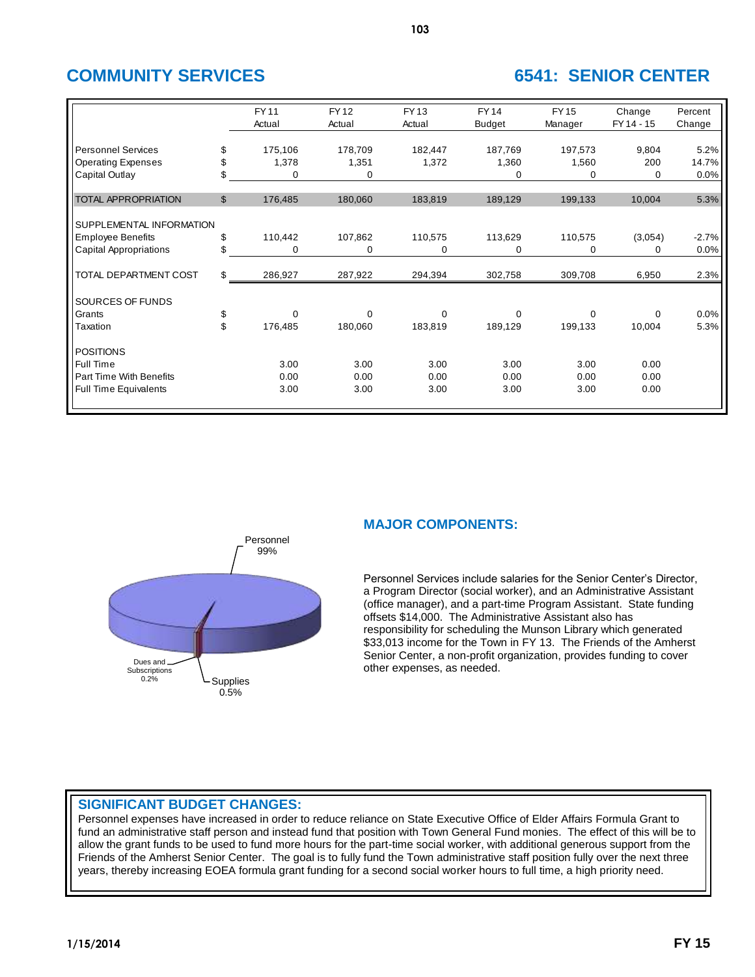# **COMMUNITY SERVICES 6541: SENIOR CENTER**

|                               |                | <b>FY11</b><br>Actual | <b>FY12</b><br>Actual | <b>FY13</b><br>Actual | <b>FY14</b><br><b>Budget</b> | <b>FY15</b><br>Manager | Change<br>FY 14 - 15 | Percent<br>Change |
|-------------------------------|----------------|-----------------------|-----------------------|-----------------------|------------------------------|------------------------|----------------------|-------------------|
| <b>Personnel Services</b>     | \$             | 175,106               | 178,709               | 182,447               | 187,769                      | 197,573                | 9,804                | 5.2%              |
| <b>Operating Expenses</b>     | \$             | 1,378                 | 1,351                 | 1,372                 | 1,360                        | 1,560                  | 200                  | 14.7%             |
| Capital Outlay                | \$             | $\Omega$              | 0                     |                       | 0                            | 0                      | 0                    | 0.0%              |
| <b>TOTAL APPROPRIATION</b>    | $\mathfrak{S}$ | 176,485               | 180,060               | 183,819               | 189,129                      | 199,133                | 10,004               | 5.3%              |
| SUPPLEMENTAL INFORMATION      |                |                       |                       |                       |                              |                        |                      |                   |
| <b>Employee Benefits</b>      | \$             | 110,442               | 107,862               | 110,575               | 113,629                      | 110,575                | (3,054)              | $-2.7%$           |
| <b>Capital Appropriations</b> | \$             | $\Omega$              | 0                     | 0                     | 0                            | $\mathbf 0$            | 0                    | 0.0%              |
| TOTAL DEPARTMENT COST         | \$             | 286,927               | 287,922               | 294,394               | 302,758                      | 309,708                | 6,950                | 2.3%              |
| SOURCES OF FUNDS              |                |                       |                       |                       |                              |                        |                      |                   |
| Grants                        | \$             | $\Omega$              | $\mathbf 0$           | $\Omega$              | $\Omega$                     | $\Omega$               | $\Omega$             | 0.0%              |
| Taxation                      | \$             | 176,485               | 180,060               | 183,819               | 189,129                      | 199,133                | 10,004               | 5.3%              |
| <b>POSITIONS</b>              |                |                       |                       |                       |                              |                        |                      |                   |
| Full Time                     |                | 3.00                  | 3.00                  | 3.00                  | 3.00                         | 3.00                   | 0.00                 |                   |
| Part Time With Benefits       |                | 0.00                  | 0.00                  | 0.00                  | 0.00                         | 0.00                   | 0.00                 |                   |
| <b>Full Time Equivalents</b>  |                | 3.00                  | 3.00                  | 3.00                  | 3.00                         | 3.00                   | 0.00                 |                   |



## **MAJOR COMPONENTS:**

Personnel Services include salaries for the Senior Center's Director, a Program Director (social worker), and an Administrative Assistant (office manager), and a part-time Program Assistant. State funding offsets \$14,000. The Administrative Assistant also has responsibility for scheduling the Munson Library which generated \$33,013 income for the Town in FY 13. The Friends of the Amherst Senior Center, a non-profit organization, provides funding to cover other expenses, as needed.

## **SIGNIFICANT BUDGET CHANGES:**

Personnel expenses have increased in order to reduce reliance on State Executive Office of Elder Affairs Formula Grant to fund an administrative staff person and instead fund that position with Town General Fund monies. The effect of this will be to allow the grant funds to be used to fund more hours for the part-time social worker, with additional generous support from the Friends of the Amherst Senior Center. The goal is to fully fund the Town administrative staff position fully over the next three years, thereby increasing EOEA formula grant funding for a second social worker hours to full time, a high priority need.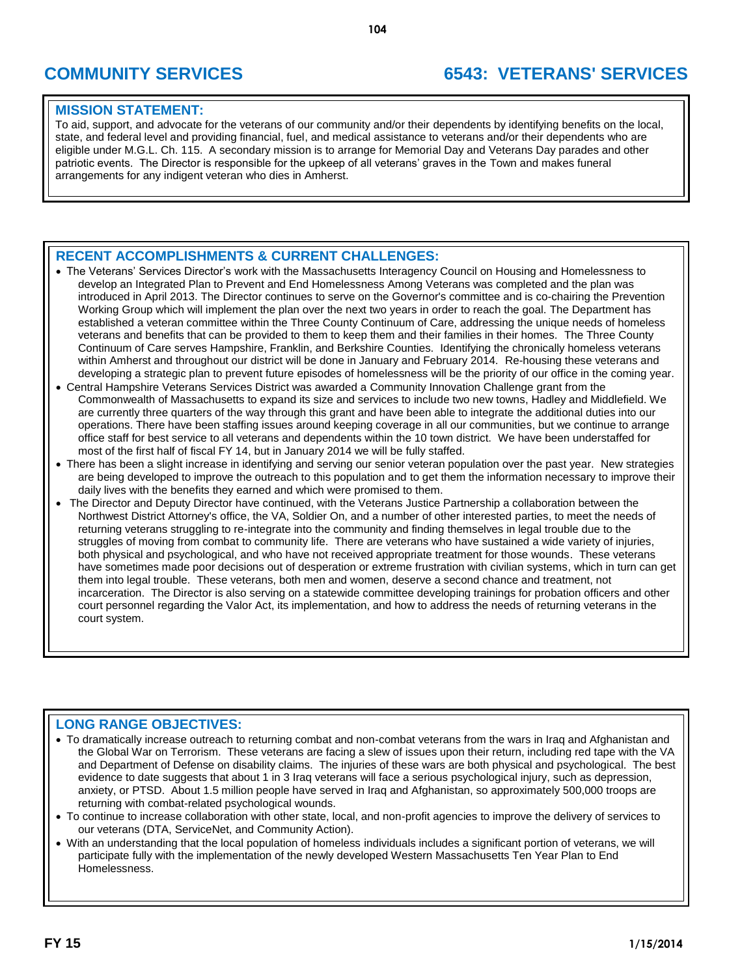## **COMMUNITY SERVICES 6543: VETERANS' SERVICES**

## **MISSION STATEMENT:**

To aid, support, and advocate for the veterans of our community and/or their dependents by identifying benefits on the local, state, and federal level and providing financial, fuel, and medical assistance to veterans and/or their dependents who are eligible under M.G.L. Ch. 115. A secondary mission is to arrange for Memorial Day and Veterans Day parades and other patriotic events. The Director is responsible for the upkeep of all veterans' graves in the Town and makes funeral arrangements for any indigent veteran who dies in Amherst.

## **RECENT ACCOMPLISHMENTS & CURRENT CHALLENGES:**

- The Veterans' Services Director's work with the Massachusetts Interagency Council on Housing and Homelessness to develop an Integrated Plan to Prevent and End Homelessness Among Veterans was completed and the plan was introduced in April 2013. The Director continues to serve on the Governor's committee and is co-chairing the Prevention Working Group which will implement the plan over the next two years in order to reach the goal. The Department has established a veteran committee within the Three County Continuum of Care, addressing the unique needs of homeless veterans and benefits that can be provided to them to keep them and their families in their homes. The Three County Continuum of Care serves Hampshire, Franklin, and Berkshire Counties. Identifying the chronically homeless veterans within Amherst and throughout our district will be done in January and February 2014. Re-housing these veterans and developing a strategic plan to prevent future episodes of homelessness will be the priority of our office in the coming year.
- Central Hampshire Veterans Services District was awarded a Community Innovation Challenge grant from the Commonwealth of Massachusetts to expand its size and services to include two new towns, Hadley and Middlefield. We are currently three quarters of the way through this grant and have been able to integrate the additional duties into our operations. There have been staffing issues around keeping coverage in all our communities, but we continue to arrange office staff for best service to all veterans and dependents within the 10 town district. We have been understaffed for most of the first half of fiscal FY 14, but in January 2014 we will be fully staffed.
- There has been a slight increase in identifying and serving our senior veteran population over the past year. New strategies are being developed to improve the outreach to this population and to get them the information necessary to improve their daily lives with the benefits they earned and which were promised to them.
- The Director and Deputy Director have continued, with the Veterans Justice Partnership a collaboration between the Northwest District Attorney's office, the VA, Soldier On, and a number of other interested parties, to meet the needs of returning veterans struggling to re-integrate into the community and finding themselves in legal trouble due to the struggles of moving from combat to community life. There are veterans who have sustained a wide variety of injuries, both physical and psychological, and who have not received appropriate treatment for those wounds. These veterans have sometimes made poor decisions out of desperation or extreme frustration with civilian systems, which in turn can get them into legal trouble. These veterans, both men and women, deserve a second chance and treatment, not incarceration. The Director is also serving on a statewide committee developing trainings for probation officers and other court personnel regarding the Valor Act, its implementation, and how to address the needs of returning veterans in the court system.

## **LONG RANGE OBJECTIVES:**

- To dramatically increase outreach to returning combat and non-combat veterans from the wars in Iraq and Afghanistan and the Global War on Terrorism. These veterans are facing a slew of issues upon their return, including red tape with the VA and Department of Defense on disability claims. The injuries of these wars are both physical and psychological. The best evidence to date suggests that about 1 in 3 Iraq veterans will face a serious psychological injury, such as depression, anxiety, or PTSD. About 1.5 million people have served in Iraq and Afghanistan, so approximately 500,000 troops are returning with combat-related psychological wounds.
- To continue to increase collaboration with other state, local, and non-profit agencies to improve the delivery of services to our veterans (DTA, ServiceNet, and Community Action).
- With an understanding that the local population of homeless individuals includes a significant portion of veterans, we will participate fully with the implementation of the newly developed Western Massachusetts Ten Year Plan to End Homelessness.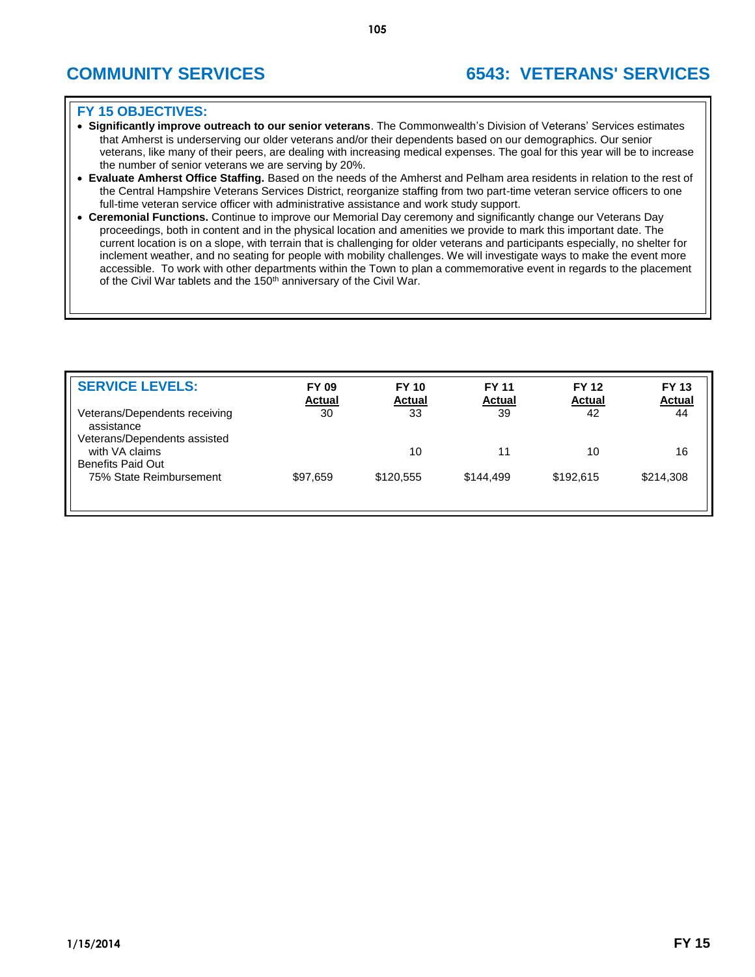- **Significantly improve outreach to our senior veterans**. The Commonwealth's Division of Veterans' Services estimates that Amherst is underserving our older veterans and/or their dependents based on our demographics. Our senior veterans, like many of their peers, are dealing with increasing medical expenses. The goal for this year will be to increase the number of senior veterans we are serving by 20%.
- **Evaluate Amherst Office Staffing.** Based on the needs of the Amherst and Pelham area residents in relation to the rest of the Central Hampshire Veterans Services District, reorganize staffing from two part-time veteran service officers to one full-time veteran service officer with administrative assistance and work study support.
- **Ceremonial Functions.** Continue to improve our Memorial Day ceremony and significantly change our Veterans Day proceedings, both in content and in the physical location and amenities we provide to mark this important date. The current location is on a slope, with terrain that is challenging for older veterans and participants especially, no shelter for inclement weather, and no seating for people with mobility challenges. We will investigate ways to make the event more accessible. To work with other departments within the Town to plan a commemorative event in regards to the placement of the Civil War tablets and the 150<sup>th</sup> anniversary of the Civil War.

| <b>SERVICE LEVELS:</b>                                                      | <b>FY 09</b><br><b>Actual</b> | <b>FY 10</b><br><b>Actual</b> | <b>FY 11</b><br><b>Actual</b> | <b>FY 12</b><br><b>Actual</b> | <b>FY 13</b><br><b>Actual</b> |
|-----------------------------------------------------------------------------|-------------------------------|-------------------------------|-------------------------------|-------------------------------|-------------------------------|
| Veterans/Dependents receiving<br>assistance<br>Veterans/Dependents assisted | 30                            | 33                            | 39                            | 42                            | 44                            |
| with VA claims<br><b>Benefits Paid Out</b>                                  |                               | 10                            | 11                            | 10                            | 16                            |
| 75% State Reimbursement                                                     | \$97,659                      | \$120.555                     | \$144.499                     | \$192.615                     | \$214,308                     |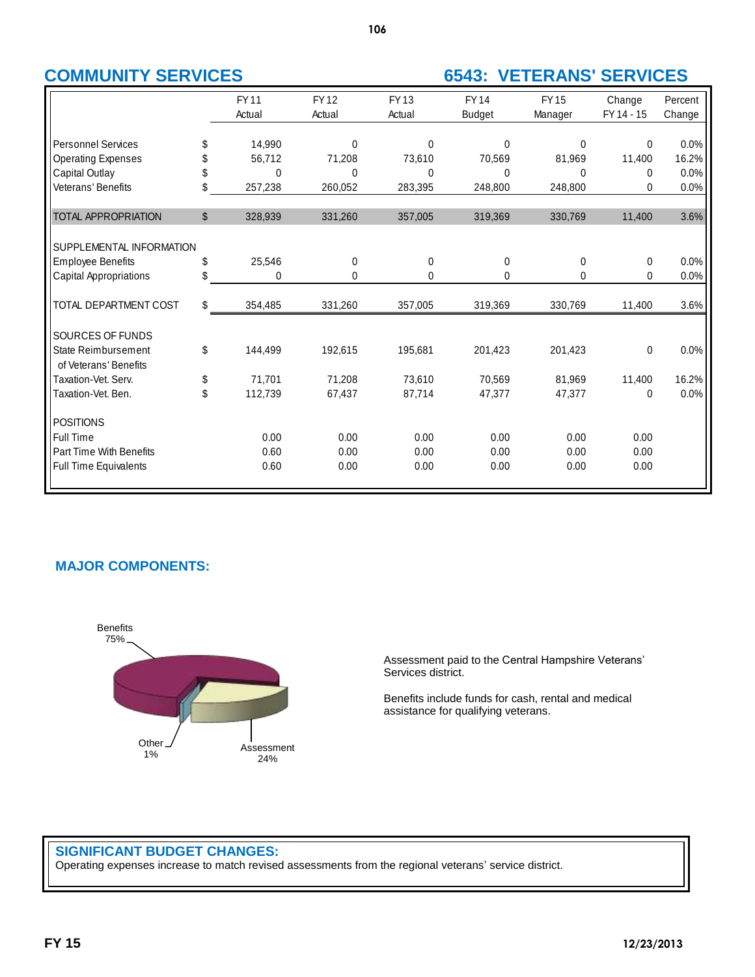## **COMMUNITY SERVICES 6543: VETERANS' SERVICES**

|                                                     |              | <b>FY11</b> | <b>FY12</b> | <b>FY13</b> | <b>FY14</b>   | <b>FY15</b> | Change       | Percent |
|-----------------------------------------------------|--------------|-------------|-------------|-------------|---------------|-------------|--------------|---------|
|                                                     |              | Actual      | Actual      | Actual      | <b>Budget</b> | Manager     | FY 14 - 15   | Change  |
|                                                     |              |             |             |             |               |             |              |         |
| <b>Personnel Services</b>                           | S            | 14,990      | 0           | 0           | $\Omega$      | 0           | $\Omega$     | 0.0%    |
| <b>Operating Expenses</b>                           |              | 56,712      | 71,208      | 73,610      | 70,569        | 81,969      | 11,400       | 16.2%   |
| Capital Outlay                                      | \$           | 0           | 0           | 0           | $\Omega$      | 0           | 0            | 0.0%    |
| Veterans' Benefits                                  | \$           | 257,238     | 260,052     | 283,395     | 248,800       | 248,800     | $\mathbf{0}$ | 0.0%    |
| <b>TOTAL APPROPRIATION</b>                          | $\mathbb{S}$ | 328,939     | 331,260     | 357,005     | 319,369       | 330,769     | 11,400       | 3.6%    |
| SUPPLEMENTAL INFORMATION                            |              |             |             |             |               |             |              |         |
| <b>Employee Benefits</b>                            | \$           | 25,546      | $\mathbf 0$ | 0           | 0             | 0           | 0            | 0.0%    |
| Capital Appropriations                              | \$           | 0           | 0           | 0           | 0             | 0           | 0            | 0.0%    |
| TOTAL DEPARTMENT COST                               | \$           | 354,485     | 331,260     | 357,005     | 319,369       | 330,769     | 11,400       | 3.6%    |
| SOURCES OF FUNDS                                    |              |             |             |             |               |             |              |         |
| <b>State Reimbursement</b><br>of Veterans' Benefits | \$           | 144,499     | 192,615     | 195,681     | 201,423       | 201,423     | 0            | 0.0%    |
| Taxation-Vet, Serv.                                 | \$           | 71,701      | 71,208      | 73,610      | 70,569        | 81,969      | 11,400       | 16.2%   |
| Taxation-Vet. Ben.                                  | \$           | 112,739     | 67,437      | 87,714      | 47,377        | 47,377      | 0            | 0.0%    |
| <b>POSITIONS</b>                                    |              |             |             |             |               |             |              |         |
| Full Time                                           |              | 0.00        | 0.00        | 0.00        | 0.00          | 0.00        | 0.00         |         |
| Part Time With Benefits                             |              | 0.60        | 0.00        | 0.00        | 0.00          | 0.00        | 0.00         |         |
| <b>Full Time Equivalents</b>                        |              | 0.60        | 0.00        | 0.00        | 0.00          | 0.00        | 0.00         |         |

## **MAJOR COMPONENTS:**



Assessment paid to the Central Hampshire Veterans' Services district.

Benefits include funds for cash, rental and medical assistance for qualifying veterans.

## **SIGNIFICANT BUDGET CHANGES:**

Operating expenses increase to match revised assessments from the regional veterans' service district.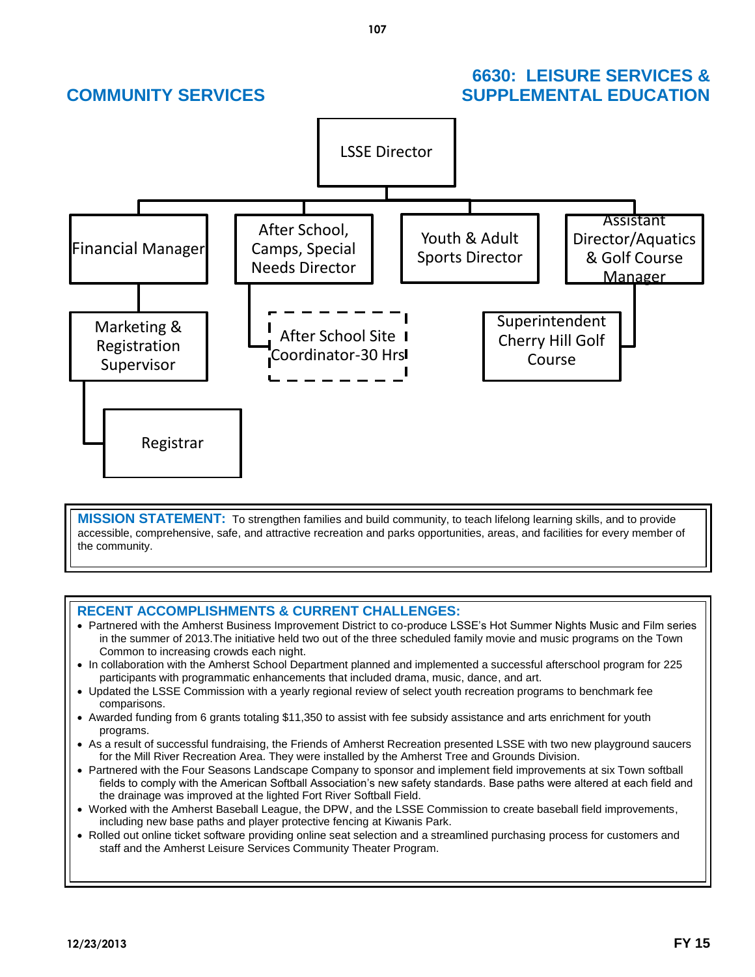## **6630: LEISURE SERVICES & COMMUNITY SERVICES SUPPLEMENTAL EDUCATION**



**MISSION STATEMENT:** To strengthen families and build community, to teach lifelong learning skills, and to provide accessible, comprehensive, safe, and attractive recreation and parks opportunities, areas, and facilities for every member of the community.

## **RECENT ACCOMPLISHMENTS & CURRENT CHALLENGES:**

- Partnered with the Amherst Business Improvement District to co-produce LSSE's Hot Summer Nights Music and Film series in the summer of 2013.The initiative held two out of the three scheduled family movie and music programs on the Town Common to increasing crowds each night.
- In collaboration with the Amherst School Department planned and implemented a successful afterschool program for 225 participants with programmatic enhancements that included drama, music, dance, and art.
- Updated the LSSE Commission with a yearly regional review of select youth recreation programs to benchmark fee comparisons.
- Awarded funding from 6 grants totaling \$11,350 to assist with fee subsidy assistance and arts enrichment for youth programs.
- As a result of successful fundraising, the Friends of Amherst Recreation presented LSSE with two new playground saucers for the Mill River Recreation Area. They were installed by the Amherst Tree and Grounds Division.
- Partnered with the Four Seasons Landscape Company to sponsor and implement field improvements at six Town softball fields to comply with the American Softball Association's new safety standards. Base paths were altered at each field and the drainage was improved at the lighted Fort River Softball Field.
- Worked with the Amherst Baseball League, the DPW, and the LSSE Commission to create baseball field improvements, including new base paths and player protective fencing at Kiwanis Park.
- Rolled out online ticket software providing online seat selection and a streamlined purchasing process for customers and staff and the Amherst Leisure Services Community Theater Program.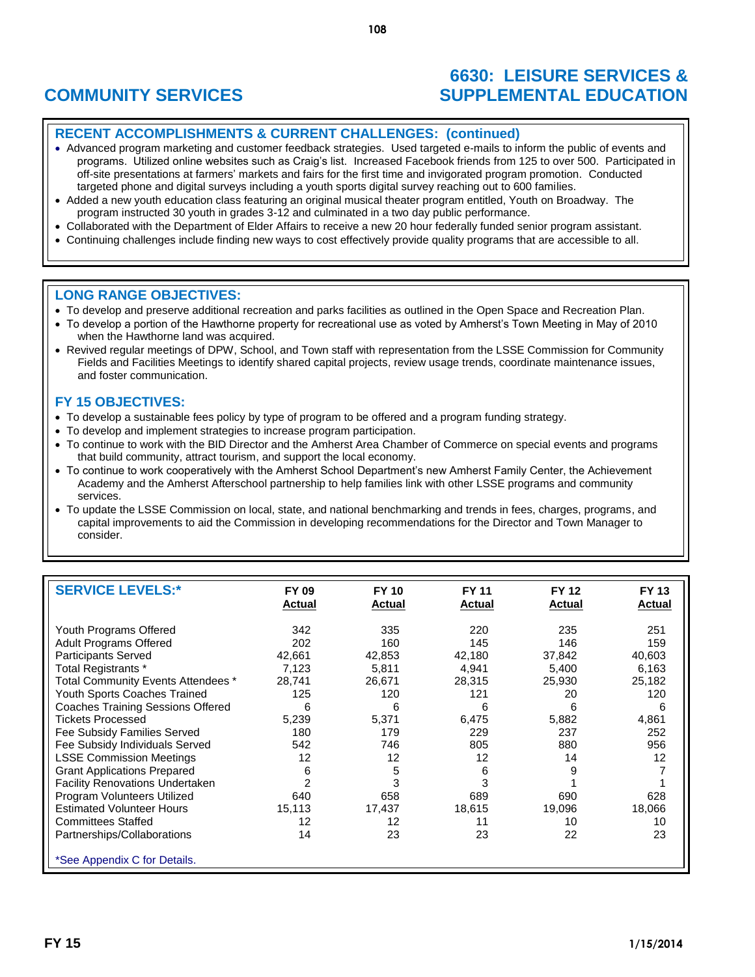## **6630: LEISURE SERVICES & COMMUNITY SERVICES SUPPLEMENTAL EDUCATION**

## **RECENT ACCOMPLISHMENTS & CURRENT CHALLENGES: (continued)**

- Advanced program marketing and customer feedback strategies. Used targeted e-mails to inform the public of events and programs. Utilized online websites such as Craig's list. Increased Facebook friends from 125 to over 500. Participated in off-site presentations at farmers' markets and fairs for the first time and invigorated program promotion. Conducted targeted phone and digital surveys including a youth sports digital survey reaching out to 600 families.
- Added a new youth education class featuring an original musical theater program entitled, Youth on Broadway. The program instructed 30 youth in grades 3-12 and culminated in a two day public performance.
- Collaborated with the Department of Elder Affairs to receive a new 20 hour federally funded senior program assistant.
- Continuing challenges include finding new ways to cost effectively provide quality programs that are accessible to all.

### **LONG RANGE OBJECTIVES:**

- To develop and preserve additional recreation and parks facilities as outlined in the Open Space and Recreation Plan.
- To develop a portion of the Hawthorne property for recreational use as voted by Amherst's Town Meeting in May of 2010 when the Hawthorne land was acquired.
- Revived regular meetings of DPW, School, and Town staff with representation from the LSSE Commission for Community Fields and Facilities Meetings to identify shared capital projects, review usage trends, coordinate maintenance issues, and foster communication.

- To develop a sustainable fees policy by type of program to be offered and a program funding strategy.
- To develop and implement strategies to increase program participation.
- To continue to work with the BID Director and the Amherst Area Chamber of Commerce on special events and programs that build community, attract tourism, and support the local economy.
- To continue to work cooperatively with the Amherst School Department's new Amherst Family Center, the Achievement Academy and the Amherst Afterschool partnership to help families link with other LSSE programs and community services.
- To update the LSSE Commission on local, state, and national benchmarking and trends in fees, charges, programs, and capital improvements to aid the Commission in developing recommendations for the Director and Town Manager to consider.

| <b>SERVICE LEVELS:*</b>                                                                                                                                                                                                                                                                                                                                                                                                          | <b>FY 09</b><br>Actual                                                                                  | <b>FY 10</b><br><b>Actual</b>                                                              | <b>FY 11</b><br><b>Actual</b>                                                              | <b>FY 12</b><br>Actual                                                               | <b>FY 13</b><br><b>Actual</b>                                                    |
|----------------------------------------------------------------------------------------------------------------------------------------------------------------------------------------------------------------------------------------------------------------------------------------------------------------------------------------------------------------------------------------------------------------------------------|---------------------------------------------------------------------------------------------------------|--------------------------------------------------------------------------------------------|--------------------------------------------------------------------------------------------|--------------------------------------------------------------------------------------|----------------------------------------------------------------------------------|
| Youth Programs Offered<br><b>Adult Programs Offered</b><br><b>Participants Served</b><br>Total Registrants *<br>Total Community Events Attendees *<br>Youth Sports Coaches Trained<br>Coaches Training Sessions Offered<br>Tickets Processed<br>Fee Subsidy Families Served<br>Fee Subsidy Individuals Served<br><b>LSSE Commission Meetings</b><br><b>Grant Applications Prepared</b><br><b>Facility Renovations Undertaken</b> | 342<br>202<br>42.661<br>7.123<br>28,741<br>125<br>6<br>5,239<br>180<br>542<br>12<br>6<br>$\overline{2}$ | 335<br>160<br>42.853<br>5,811<br>26,671<br>120<br>6<br>5,371<br>179<br>746<br>12<br>5<br>3 | 220<br>145<br>42.180<br>4.941<br>28,315<br>121<br>6<br>6,475<br>229<br>805<br>12<br>6<br>3 | 235<br>146<br>37.842<br>5,400<br>25,930<br>20<br>6<br>5,882<br>237<br>880<br>14<br>9 | 251<br>159<br>40,603<br>6,163<br>25,182<br>120<br>6<br>4,861<br>252<br>956<br>12 |
| Program Volunteers Utilized<br><b>Estimated Volunteer Hours</b><br><b>Committees Staffed</b><br>Partnerships/Collaborations<br>*See Appendix C for Details.                                                                                                                                                                                                                                                                      | 640<br>15,113<br>12<br>14                                                                               | 658<br>17,437<br>12<br>23                                                                  | 689<br>18,615<br>11<br>23                                                                  | 690<br>19,096<br>10<br>22                                                            | 628<br>18,066<br>10<br>23                                                        |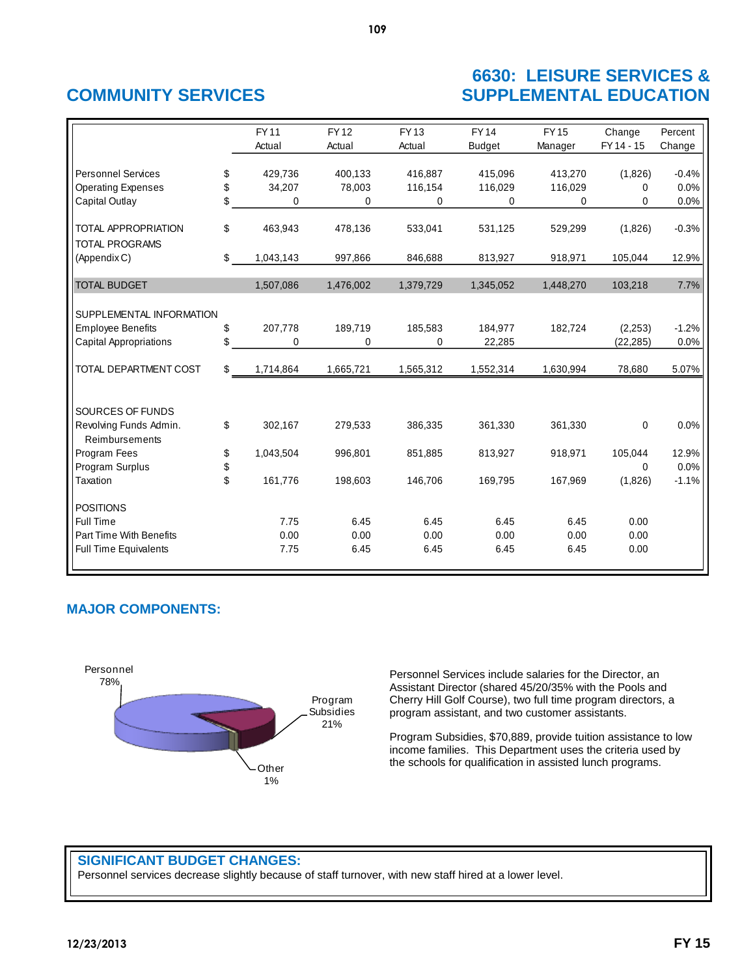## **6630: LEISURE SERVICES & COMMUNITY SERVICES SUPPLEMENTAL EDUCATION**

|                               | <b>FY11</b>     | <b>FY12</b> | <b>FY13</b> | <b>FY14</b> | <b>FY15</b> | Change      | Percent |
|-------------------------------|-----------------|-------------|-------------|-------------|-------------|-------------|---------|
|                               | Actual          | Actual      | Actual      | Budget      | Manager     | FY 14 - 15  | Change  |
|                               |                 |             |             |             |             |             |         |
| <b>Personnel Services</b>     | \$<br>429.736   | 400.133     | 416.887     | 415.096     | 413,270     | (1,826)     | $-0.4%$ |
| <b>Operating Expenses</b>     | \$<br>34,207    | 78,003      | 116,154     | 116,029     | 116,029     | 0           | 0.0%    |
| Capital Outlay                | \$<br>0         | 0           | 0           | 0           | 0           | 0           | 0.0%    |
|                               |                 |             |             |             |             |             |         |
| <b>TOTAL APPROPRIATION</b>    | \$<br>463,943   | 478,136     | 533,041     | 531,125     | 529,299     | (1,826)     | $-0.3%$ |
| <b>TOTAL PROGRAMS</b>         |                 |             |             |             |             |             |         |
| (Appendix C)                  | \$<br>1,043,143 | 997,866     | 846,688     | 813,927     | 918,971     | 105,044     | 12.9%   |
| <b>TOTAL BUDGET</b>           | 1,507,086       | 1,476,002   |             | 1,345,052   | 1,448,270   | 103,218     | 7.7%    |
|                               |                 |             | 1,379,729   |             |             |             |         |
| SUPPLEMENTAL INFORMATION      |                 |             |             |             |             |             |         |
| <b>Employee Benefits</b>      | \$<br>207,778   | 189,719     | 185,583     | 184,977     | 182,724     | (2, 253)    | $-1.2%$ |
| <b>Capital Appropriations</b> | \$<br>0         | 0           | 0           | 22,285      |             | (22, 285)   | 0.0%    |
|                               |                 |             |             |             |             |             |         |
| TOTAL DEPARTMENT COST         | \$<br>1,714,864 | 1,665,721   | 1,565,312   | 1,552,314   | 1,630,994   | 78,680      | 5.07%   |
|                               |                 |             |             |             |             |             |         |
| SOURCES OF FUNDS              |                 |             |             |             |             |             |         |
| Revolving Funds Admin.        | \$<br>302,167   | 279,533     | 386,335     | 361,330     | 361,330     | 0           | 0.0%    |
| Reimbursements                |                 |             |             |             |             |             |         |
| Program Fees                  | \$<br>1,043,504 | 996,801     | 851,885     | 813,927     | 918,971     | 105,044     | 12.9%   |
| Program Surplus               | \$              |             |             |             |             | $\mathbf 0$ | 0.0%    |
| Taxation                      | \$<br>161,776   | 198,603     | 146,706     | 169,795     | 167,969     | (1,826)     | $-1.1%$ |
| <b>POSITIONS</b>              |                 |             |             |             |             |             |         |
| Full Time                     | 7.75            | 6.45        | 6.45        | 6.45        | 6.45        | 0.00        |         |
| Part Time With Benefits       | 0.00            | 0.00        | 0.00        | 0.00        | 0.00        | 0.00        |         |
| <b>Full Time Equivalents</b>  | 7.75            | 6.45        | 6.45        | 6.45        | 6.45        | 0.00        |         |
|                               |                 |             |             |             |             |             |         |

## **MAJOR COMPONENTS:**



Personnel Services include salaries for the Director, an Assistant Director (shared 45/20/35% with the Pools and Cherry Hill Golf Course), two full time program directors, a program assistant, and two customer assistants.

Program Subsidies, \$70,889, provide tuition assistance to low income families. This Department uses the criteria used by the schools for qualification in assisted lunch programs.

## **SIGNIFICANT BUDGET CHANGES:**

Personnel services decrease slightly because of staff turnover, with new staff hired at a lower level.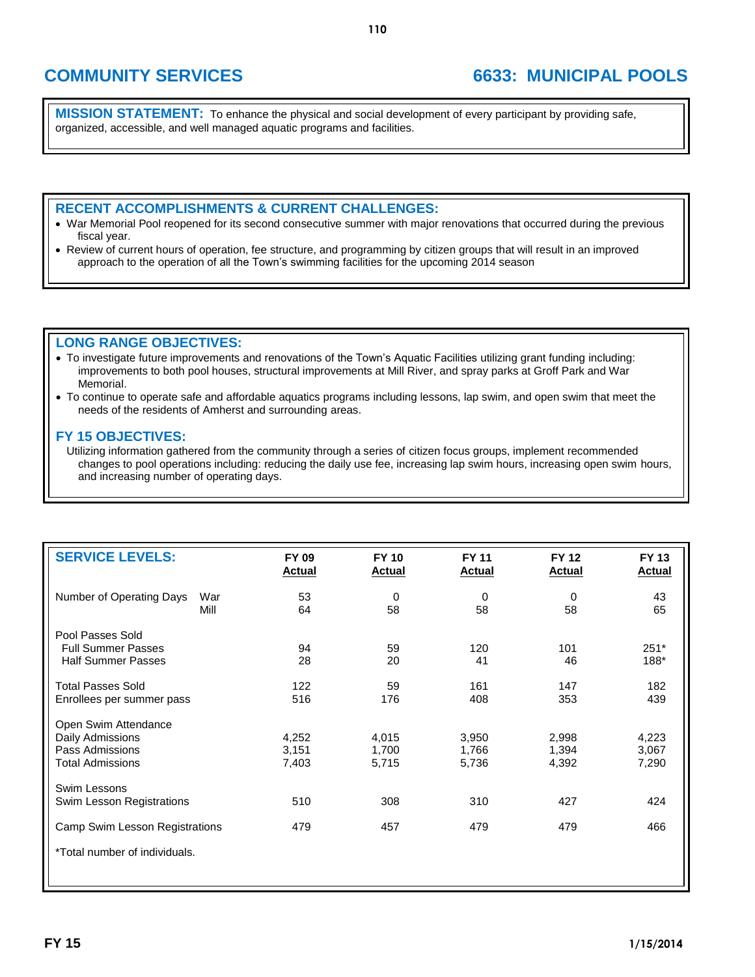# **COMMUNITY SERVICES 6633: MUNICIPAL POOLS**

**MISSION STATEMENT:** To enhance the physical and social development of every participant by providing safe, organized, accessible, and well managed aquatic programs and facilities.

### **RECENT ACCOMPLISHMENTS & CURRENT CHALLENGES:**

- War Memorial Pool reopened for its second consecutive summer with major renovations that occurred during the previous fiscal year.
- Review of current hours of operation, fee structure, and programming by citizen groups that will result in an improved approach to the operation of all the Town's swimming facilities for the upcoming 2014 season

### **LONG RANGE OBJECTIVES:**

- To investigate future improvements and renovations of the Town's Aquatic Facilities utilizing grant funding including: improvements to both pool houses, structural improvements at Mill River, and spray parks at Groff Park and War Memorial.
- To continue to operate safe and affordable aquatics programs including lessons, lap swim, and open swim that meet the needs of the residents of Amherst and surrounding areas.

### **FY 15 OBJECTIVES:**

Utilizing information gathered from the community through a series of citizen focus groups, implement recommended changes to pool operations including: reducing the daily use fee, increasing lap swim hours, increasing open swim hours, and increasing number of operating days.

| <b>SERVICE LEVELS:</b>                  | FY 09<br><b>Actual</b> | <b>FY 10</b><br><b>Actual</b> | <b>FY 11</b><br><b>Actual</b> | <b>FY 12</b><br><b>Actual</b> | <b>FY 13</b><br><b>Actual</b> |
|-----------------------------------------|------------------------|-------------------------------|-------------------------------|-------------------------------|-------------------------------|
| Number of Operating Days<br>War<br>Mill | 53<br>64               | 0<br>58                       | 0<br>58                       | 0<br>58                       | 43<br>65                      |
| Pool Passes Sold                        |                        |                               |                               |                               |                               |
| <b>Full Summer Passes</b>               | 94                     | 59                            | 120                           | 101                           | $251*$                        |
| <b>Half Summer Passes</b>               | 28                     | 20                            | 41                            | 46                            | 188*                          |
| <b>Total Passes Sold</b>                | 122                    | 59                            | 161                           | 147                           | 182                           |
| Enrollees per summer pass               | 516                    | 176                           | 408                           | 353                           | 439                           |
| Open Swim Attendance                    |                        |                               |                               |                               |                               |
| Daily Admissions                        | 4,252                  | 4,015                         | 3,950                         | 2,998                         | 4,223                         |
| Pass Admissions                         | 3,151                  | 1,700                         | 1,766                         | 1,394                         | 3,067                         |
| <b>Total Admissions</b>                 | 7,403                  | 5,715                         | 5,736                         | 4,392                         | 7,290                         |
| Swim Lessons                            |                        |                               |                               |                               |                               |
| Swim Lesson Registrations               | 510                    | 308                           | 310                           | 427                           | 424                           |
| Camp Swim Lesson Registrations          | 479                    | 457                           | 479                           | 479                           | 466                           |
| *Total number of individuals.           |                        |                               |                               |                               |                               |
|                                         |                        |                               |                               |                               |                               |
|                                         |                        |                               |                               |                               |                               |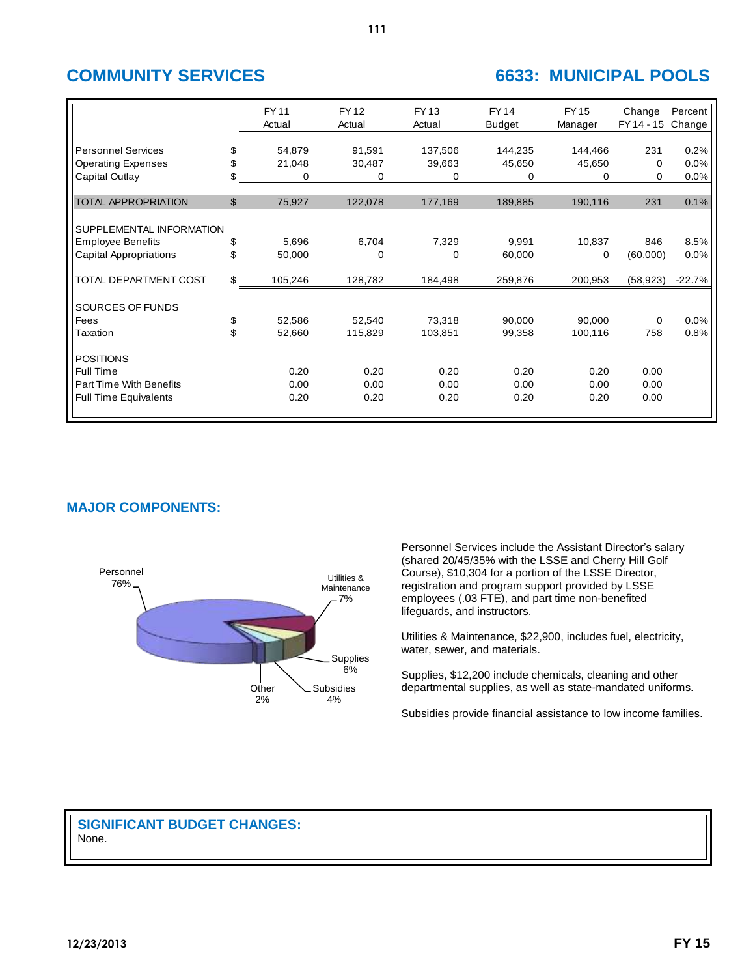## **COMMUNITY SERVICES 6633: MUNICIPAL POOLS**

|                               | <b>FY11</b><br>Actual | <b>FY12</b><br>Actual | <b>FY13</b><br>Actual | <b>FY14</b><br><b>Budget</b> | <b>FY15</b><br>Manager | Change<br>FY 14 - 15 | Percent<br>Change |
|-------------------------------|-----------------------|-----------------------|-----------------------|------------------------------|------------------------|----------------------|-------------------|
| <b>Personnel Services</b>     | \$<br>54,879          | 91,591                | 137,506               | 144,235                      | 144,466                | 231                  | 0.2%              |
|                               |                       |                       |                       |                              |                        |                      |                   |
| <b>Operating Expenses</b>     | \$<br>21,048          | 30,487                | 39,663                | 45,650                       | 45,650                 | $\Omega$             | 0.0%              |
| Capital Outlay                | \$<br>0               | 0                     | 0                     | 0                            | 0                      | 0                    | 0.0%              |
| <b>TOTAL APPROPRIATION</b>    | \$<br>75,927          | 122,078               | 177,169               | 189,885                      | 190,116                | 231                  | 0.1%              |
|                               |                       |                       |                       |                              |                        |                      |                   |
| SUPPLEMENTAL INFORMATION      |                       |                       |                       |                              |                        |                      |                   |
| <b>Employee Benefits</b>      | \$<br>5,696           | 6,704                 | 7,329                 | 9,991                        | 10,837                 | 846                  | 8.5%              |
| <b>Capital Appropriations</b> | \$<br>50,000          | 0                     | 0                     | 60,000                       | 0                      | (60,000)             | 0.0%              |
|                               |                       |                       |                       |                              |                        |                      |                   |
| TOTAL DEPARTMENT COST         | \$<br>105,246         | 128,782               | 184,498               | 259,876                      | 200,953                | (58, 923)            | $-22.7%$          |
| SOURCES OF FUNDS              |                       |                       |                       |                              |                        |                      |                   |
| Fees                          | \$<br>52,586          | 52,540                | 73,318                | 90,000                       | 90,000                 | 0                    | 0.0%              |
| Taxation                      | \$<br>52,660          | 115,829               | 103,851               | 99,358                       | 100,116                | 758                  | 0.8%              |
| <b>POSITIONS</b>              |                       |                       |                       |                              |                        |                      |                   |
| Full Time                     | 0.20                  | 0.20                  | 0.20                  | 0.20                         | 0.20                   | 0.00                 |                   |
| Part Time With Benefits       | 0.00                  | 0.00                  | 0.00                  | 0.00                         | 0.00                   | 0.00                 |                   |
| <b>Full Time Equivalents</b>  | 0.20                  | 0.20                  | 0.20                  | 0.20                         | 0.20                   | 0.00                 |                   |
|                               |                       |                       |                       |                              |                        |                      |                   |

## **MAJOR COMPONENTS:**



Personnel Services include the Assistant Director's salary (shared 20/45/35% with the LSSE and Cherry Hill Golf Course), \$10,304 for a portion of the LSSE Director, registration and program support provided by LSSE employees (.03 FTE), and part time non-benefited lifeguards, and instructors.

Utilities & Maintenance, \$22,900, includes fuel, electricity, water, sewer, and materials.

Supplies, \$12,200 include chemicals, cleaning and other departmental supplies, as well as state-mandated uniforms.

Subsidies provide financial assistance to low income families.

## **SIGNIFICANT BUDGET CHANGES:** None.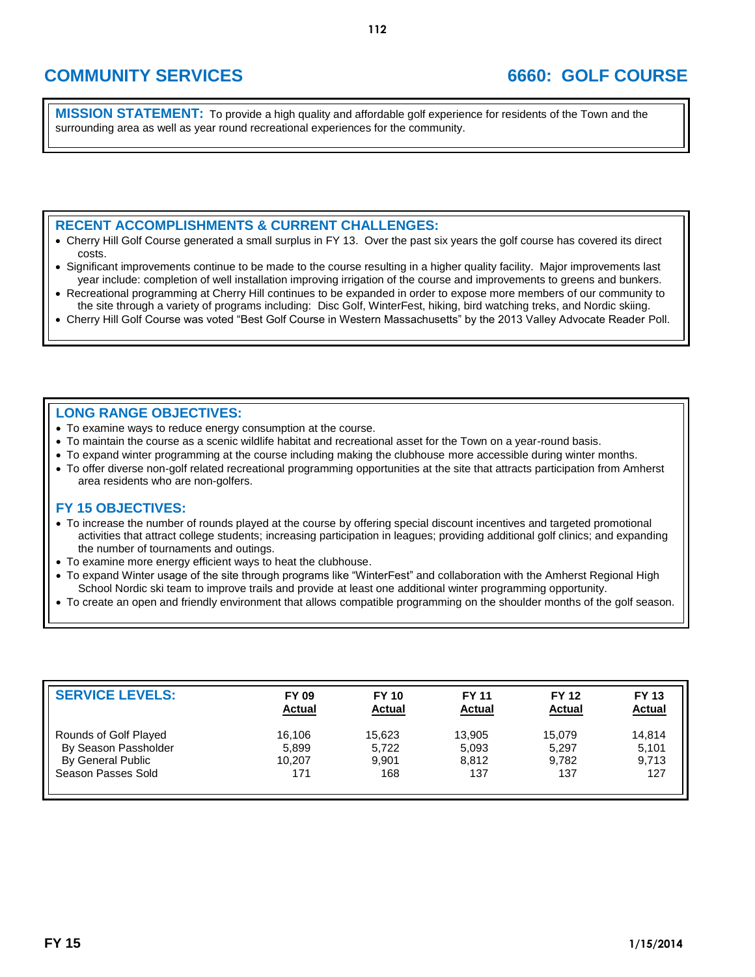# **COMMUNITY SERVICES 6660: GOLF COURSE**

**MISSION STATEMENT:** To provide a high quality and affordable golf experience for residents of the Town and the surrounding area as well as year round recreational experiences for the community.

### **RECENT ACCOMPLISHMENTS & CURRENT CHALLENGES:**

- Cherry Hill Golf Course generated a small surplus in FY 13. Over the past six years the golf course has covered its direct costs.
- Significant improvements continue to be made to the course resulting in a higher quality facility. Major improvements last year include: completion of well installation improving irrigation of the course and improvements to greens and bunkers.
- Recreational programming at Cherry Hill continues to be expanded in order to expose more members of our community to the site through a variety of programs including: Disc Golf, WinterFest, hiking, bird watching treks, and Nordic skiing.
- Cherry Hill Golf Course was voted "Best Golf Course in Western Massachusetts" by the 2013 Valley Advocate Reader Poll.

### **LONG RANGE OBJECTIVES:**

- To examine ways to reduce energy consumption at the course.
- To maintain the course as a scenic wildlife habitat and recreational asset for the Town on a year-round basis.
- To expand winter programming at the course including making the clubhouse more accessible during winter months.
- To offer diverse non-golf related recreational programming opportunities at the site that attracts participation from Amherst area residents who are non-golfers.

- To increase the number of rounds played at the course by offering special discount incentives and targeted promotional activities that attract college students; increasing participation in leagues; providing additional golf clinics; and expanding the number of tournaments and outings.
- To examine more energy efficient ways to heat the clubhouse.
- To expand Winter usage of the site through programs like "WinterFest" and collaboration with the Amherst Regional High School Nordic ski team to improve trails and provide at least one additional winter programming opportunity.
- To create an open and friendly environment that allows compatible programming on the shoulder months of the golf season.

| <b>SERVICE LEVELS:</b> | <b>FY 09</b>  | <b>FY 10</b>  | <b>FY 11</b>  | <b>FY 12</b>  | <b>FY 13</b>  |
|------------------------|---------------|---------------|---------------|---------------|---------------|
|                        | <b>Actual</b> | <b>Actual</b> | <b>Actual</b> | <b>Actual</b> | <b>Actual</b> |
| Rounds of Golf Played  | 16,106        | 15.623        | 13,905        | 15,079        | 14.814        |
| By Season Passholder   | 5,899         | 5,722         | 5,093         | 5,297         | 5,101         |
| By General Public      | 10.207        | 9.901         | 8,812         | 9.782         | 9,713         |
| Season Passes Sold     | 171           | 168           | 137           | 137           | 127           |